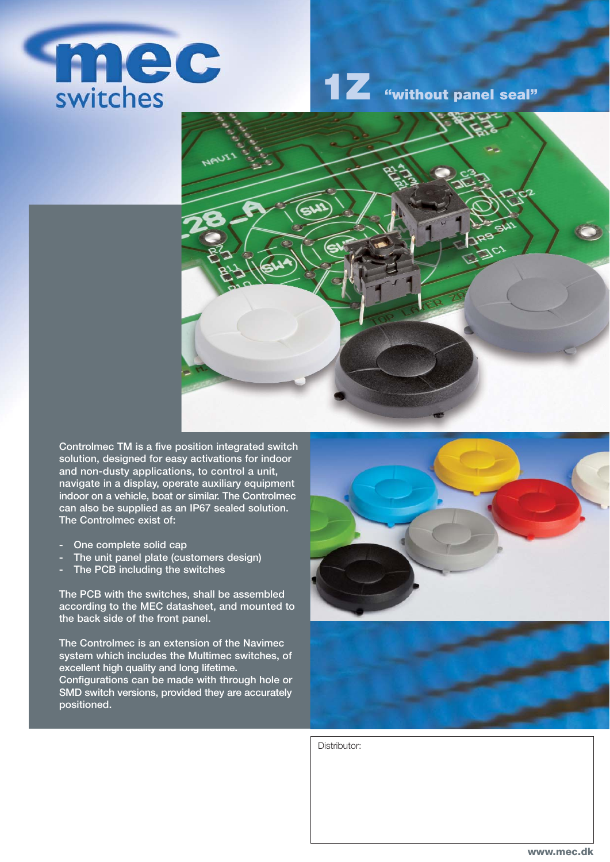

**1Z "without panel seal"**



**Controlmec TM is a five position integrated switch solution, designed for easy activations for indoor and non-dusty applications, to control a unit, navigate in a display, operate auxiliary equipment indoor on a vehicle, boat or similar. The Controlmec can also be supplied as an IP67 sealed solution. The Controlmec exist of:**

- **One complete solid cap**
- **The unit panel plate (customers design)**
- **The PCB including the switches**

**The PCB with the switches, shall be assembled according to the MEC datasheet, and mounted to the back side of the front panel.** 

**The Controlmec is an extension of the Navimec system which includes the Multimec switches, of excellent high quality and long lifetime. Configurations can be made with through hole or SMD switch versions, provided they are accurately positioned.**





Distributor: